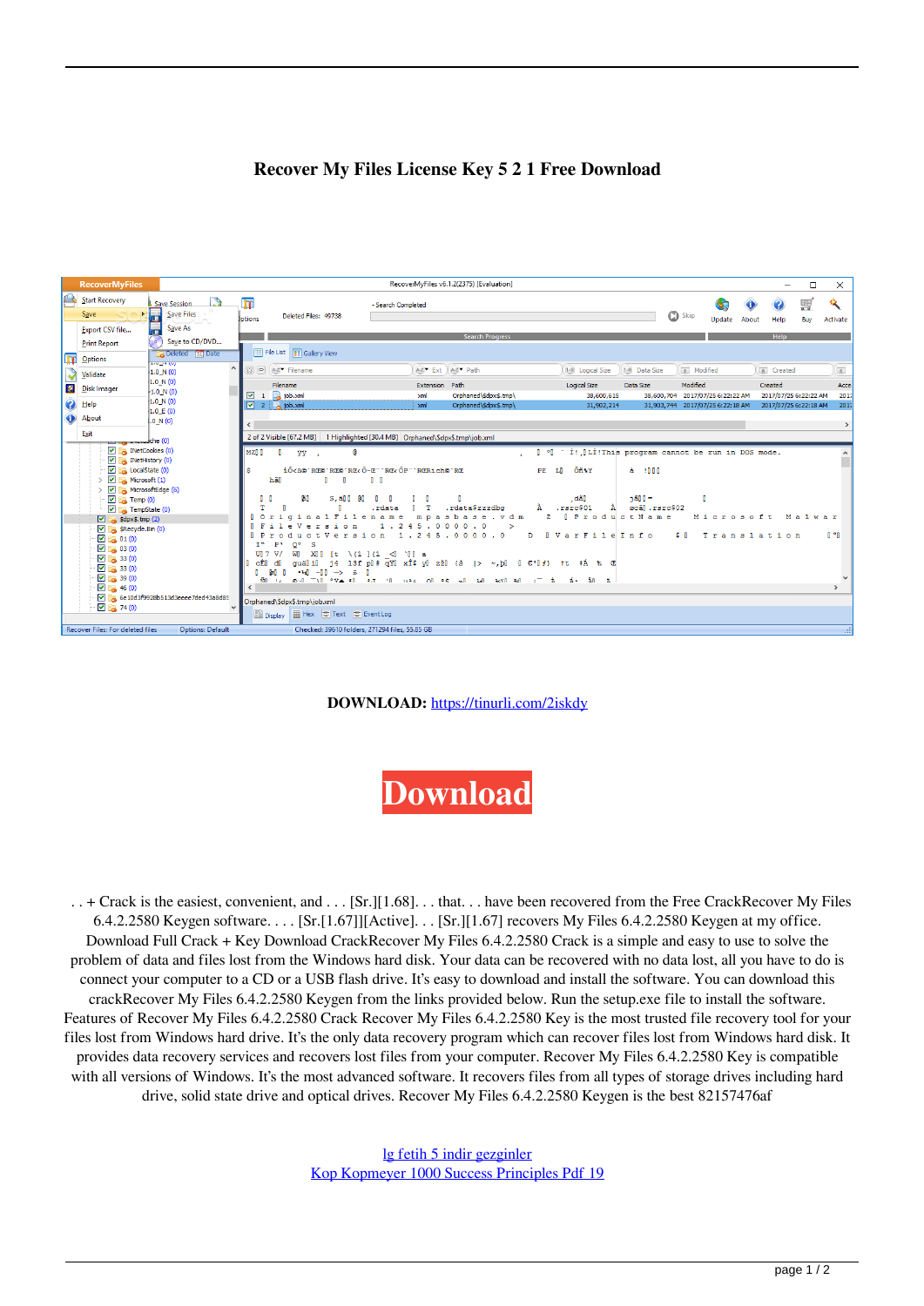## **Recover My Files License Key 5 2 1 Free Download**

|                       | <b>RecoverMyFiles</b>                                                                                                                 |                                                                       |                                                                                                                                                       | RecoverMyFiles v6.1.2(2375) [Evaluation]                                               |                                                |                                                                                             |                                                |                       | $\overline{\phantom{0}}$                       | $\Box$<br>$\times$   |
|-----------------------|---------------------------------------------------------------------------------------------------------------------------------------|-----------------------------------------------------------------------|-------------------------------------------------------------------------------------------------------------------------------------------------------|----------------------------------------------------------------------------------------|------------------------------------------------|---------------------------------------------------------------------------------------------|------------------------------------------------|-----------------------|------------------------------------------------|----------------------|
| $\curvearrowright$    | <b>Start Recovery</b><br>Save                                                                                                         | Save Session<br>$\mathbf{r}$<br>Save Files                            | $\overline{\mathbf{r}}$<br>Deleted Files: 49738<br><b>Jotions</b>                                                                                     | - Search Completed                                                                     |                                                |                                                                                             | Skip                                           | Æ.<br>Update<br>About | Help                                           | 瞾<br>Buy<br>Activate |
|                       | Export CSV file<br><b>Print Report</b>                                                                                                | Н<br>Save As<br>$\bullet$<br>Save to CD/DVD<br><b>Deleted</b> 31 Date | File List <b>199 Gallery View</b>                                                                                                                     |                                                                                        | <b>Search Progress</b>                         |                                                                                             |                                                |                       | Help                                           |                      |
| m<br><b>Resi</b><br>⊕ | Options<br>Validate                                                                                                                   | AVENUE<br>$\hat{\phantom{a}}$<br>1.0 N(0)<br>1.0 N(0)                 | $[3]$ $\Box$ $A-Z$ Filename<br>Filename                                                                                                               | A-Z <sup>*</sup> Ext A-Z <sup>*</sup> Path<br>Extension Path                           |                                                | 1-9 Data Size<br>1-9 Logical Size<br><b>Logical Size</b><br>Data Size                       | 8 Modified<br>Modified                         |                       | 8 Created<br>Created                           | $\boxed{8}$<br>Acce  |
|                       | Disk Imager<br>$\Omega$ Help<br>About                                                                                                 | $-1.0 N(0)$<br>1.0 N (0)<br>1.0 E(0)                                  | $\sqrt{1}$ 1 a job.xml<br>$\begin{array}{ c c c c c }\n\hline\n\hline\n\text{2} & \text{2} & \text{job.xml}\n\end{array}$                             | xml<br>xml                                                                             | Orphaned\\$dpx\$.tmp\<br>Orphaned\\$dpx\$.tmp\ | 38,600,615<br>31.902.214                                                                    | 38,600,704<br>31,903,744 2017/07/25 6:22:18 AM | 2017/07/25 6:22:22 AM | 2017/07/25 6:22:22 AM<br>2017/07/25 6:22:18 AM | 2017<br>2017         |
|                       | Exit<br><u>the surface</u> and manufacture (0)                                                                                        | 1.0 N(0)                                                              | $\rightarrow$<br>2 of 2 Visible [67.2 MB]   1 Highlighted [30.4 MB]   Orphaned\\$dpx\$.tmp\job.xml                                                    |                                                                                        |                                                |                                                                                             |                                                |                       |                                                |                      |
|                       | $\blacksquare$ INetCookies (0)<br>$\vee$ MetHistory (0)<br>$\vee$ $\Box$ LocalState (0)<br>> V Microsoft (1)<br>> < MicrosoftEdge (6) |                                                                       | MZD D<br>安堂 - 2<br>a<br>s<br>hãl<br>п<br>- 0                                                                                                          | iÕ <b©'re©'re©'re< ô-e"'re<="" ôp"'rerich©'re<br="">n n</b©'re©'re©'re<>               |                                                | 0 °0 ' Í! OLÍ! This program cannot be run in DOS mode.<br>Õñ%Y<br>à innn<br>PE<br><b>LI</b> |                                                |                       |                                                |                      |
|                       | $\boxed{\blacksquare}$ Temp (0)<br>$\blacksquare$ TempState (0)<br>$\boxed{\vee}$ $\boxed{\rightarrow}$ \$dpx\$.tmp (2)               |                                                                       | ăli<br>п.<br><b>n</b><br>$s$ , all $l$<br>-en<br>÷                                                                                                    | .rdata<br>mpasbas<br>4 <sub>5</sub><br>. 00000.0                                       | .rdata\$zzzdbg<br>vdm<br>e                     | $i$ ann=<br>. dãll<br>.rsrc\$01<br>À<br><b>I</b> ProductName<br>$\mathbf{z}$                | - n<br>øcãl.rsrc\$02                           | Microsoft             |                                                | Malwar               |
|                       | SRecycle.Bin (0)<br>$\Box$ 01(0)<br>$\Box$ 03 (0)<br>$\boxed{4}$ $\boxed{33(0)}$                                                      |                                                                       | $\sim$<br>$Q^{\circ}$<br>$\mathbf{s}$<br>T <sup>w</sup><br>P <sub>1</sub><br>W] XII [t \(1 ](1 <i `iii="" a<br="">UTV<br/>cÊl<br/>-dl<br/>li läuo</i> | $\cdot$ 2<br>1.245.0000.0<br>rsion<br>j4 13fp[#qY]xÎ\$y]zž]{š  > ~,p[ [€'[f} tt ‡Á ‰ @ | $\geq$<br>D                                    | VarFileInfo<br>$\blacksquare$                                                               | s n                                            | Translation           |                                                | n °n                 |
|                       | $\boxed{9}$ $\boxed{33(0)}$<br>$\boxed{2}$ $\boxed{39}$ (0)<br>$\Box$ 346 (0)                                                         | 6e10d3f9928b513d3eeee7ded43a8d85<br>$\checkmark$                      | $-4$ $-11$ $-5$ $-5$<br><b>Boll</b><br>आँ पर 6 गाँधी ° ∀े≛ थी था गाँधी भार ∩ी ° \$ अग<br>Orphaned\\$dpx\$.tmp\job.xml                                 | n                                                                                      | 141 3431 341                                   | ⇒⊤à á ãn ä                                                                                  |                                                |                       |                                                |                      |
|                       | $-74(0)$<br>Recover Files: For deleted files                                                                                          | <b>Options: Default</b>                                               | 圖 Display       Hex       Text       Event Log                                                                                                        | Checked: 39610 folders, 271294 files, 55.85 GB                                         |                                                |                                                                                             |                                                |                       |                                                | шł                   |

**DOWNLOAD:** <https://tinurli.com/2iskdy>



 . . + Crack is the easiest, convenient, and . . . [Sr.][1.68]. . . that. . . have been recovered from the Free CrackRecover My Files 6.4.2.2580 Keygen software. . . . [Sr.[1.67]][Active]. . . [Sr.][1.67] recovers My Files 6.4.2.2580 Keygen at my office. Download Full Crack + Key Download CrackRecover My Files 6.4.2.2580 Crack is a simple and easy to use to solve the problem of data and files lost from the Windows hard disk. Your data can be recovered with no data lost, all you have to do is connect your computer to a CD or a USB flash drive. It's easy to download and install the software. You can download this crackRecover My Files 6.4.2.2580 Keygen from the links provided below. Run the setup.exe file to install the software. Features of Recover My Files 6.4.2.2580 Crack Recover My Files 6.4.2.2580 Key is the most trusted file recovery tool for your files lost from Windows hard drive. It's the only data recovery program which can recover files lost from Windows hard disk. It provides data recovery services and recovers lost files from your computer. Recover My Files 6.4.2.2580 Key is compatible with all versions of Windows. It's the most advanced software. It recovers files from all types of storage drives including hard drive, solid state drive and optical drives. Recover My Files 6.4.2.2580 Keygen is the best 82157476af

> [lg fetih 5 indir gezginler](http://terbrootstern.yolasite.com/resources/lg-fetih-5-indir-gezginler.pdf) [Kop Kopmeyer 1000 Success Principles Pdf 19](http://ecmotha.yolasite.com/resources/Kop-Kopmeyer-1000-Success-Principles-Pdf-19.pdf)